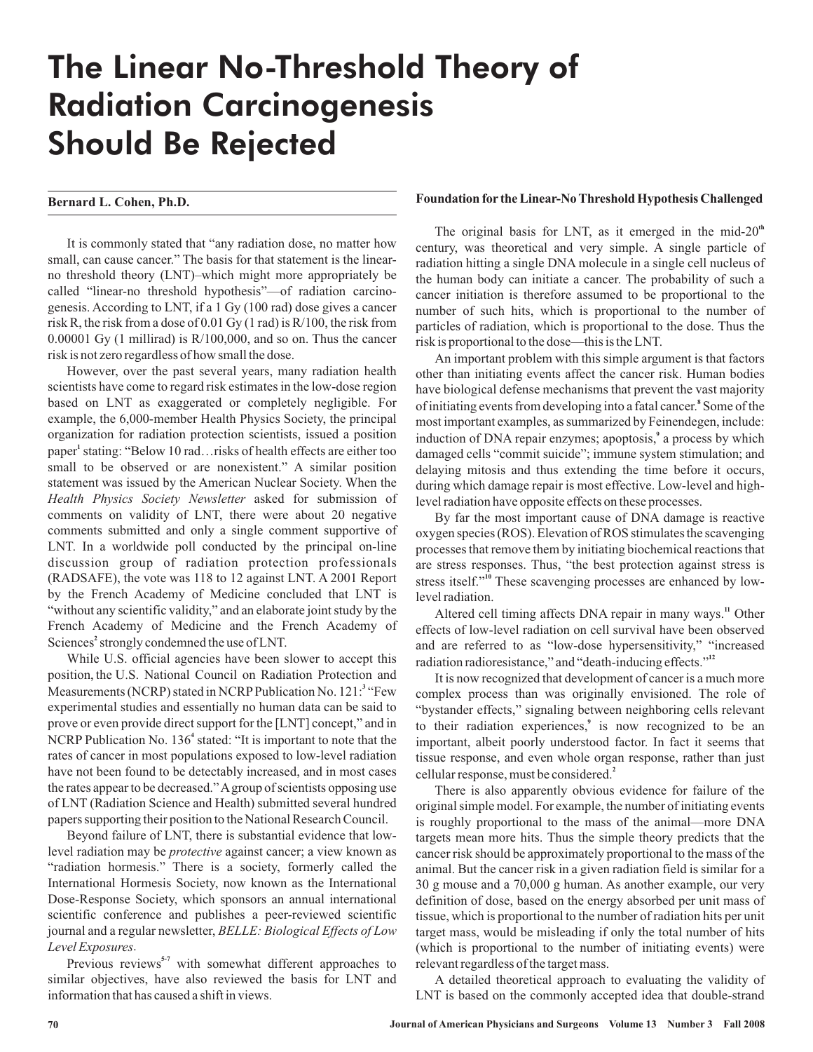# The Linear No-Threshold Theory of Radiation Carcinogenesis Should Be Rejected

## **Bernard L. Cohen, Ph.D.**

It is commonly stated that "any radiation dose, no matter how small, can cause cancer." The basis for that statement is the linearno threshold theory (LNT)–which might more appropriately be called "linear-no threshold hypothesis"—of radiation carcinogenesis. According to LNT, if a 1 Gy (100 rad) dose gives a cancer risk R, the risk from a dose of 0.01 Gy (1 rad) is R/100, the risk from 0.00001 Gy (1 millirad) is R/100,000, and so on. Thus the cancer risk is not zero regardless of how small the dose.

However, over the past several years, many radiation health scientists have come to regard risk estimates in the low-dose region based on LNT as exaggerated or completely negligible. For example, the 6,000-member Health Physics Society, the principal organization for radiation protection scientists, issued a position paper<sup>1</sup> stating: "Below 10 rad... risks of health effects are either too small to be observed or are nonexistent." A similar position statement was issued by the American Nuclear Society. When the Health Physics Society Newsletter asked for submission of comments on validity of LNT, there were about 20 negative comments submitted and only a single comment supportive of LNT. In a worldwide poll conducted by the principal on-line discussion group of radiation protection professionals (RADSAFE), the vote was 118 to 12 against LNT. A 2001 Report by the French Academy of Medicine concluded that LNT is "without any scientific validity," and an elaborate joint study by the French Academy of Medicine and the French Academy of Sciences<sup>2</sup> strongly condemned the use of LNT.

While U.S. official agencies have been slower to accept this position, the U.S. National Council on Radiation Protection and Measurements (NCRP) stated in NCRP Publication No. 121:<sup>3</sup> "Few experimental studies and essentially no human data can be said to prove or even provide direct support for the [LNT] concept," and in NCRP Publication No. 136<sup>4</sup> stated: "It is important to note that the rates of cancer in most populations exposed to low-level radiation have not been found to be detectably increased, and in most cases the rates appear to be decreased."A group of scientists opposing use of LNT (Radiation Science and Health) submitted several hundred papers supporting their position to the National Research Council.

Beyond failure of LNT, there is substantial evidence that lowlevel radiation may be *protective* against cancer; a view known as "radiation hormesis." There is a society, formerly called the International Hormesis Society, now known as the International Dose-Response Society, which sponsors an annual international scientific conference and publishes a peer-reviewed scientific journal and a regular newsletter, *BELLE: Biological Effects of Low* . *Level Exposures*

Previous reviews<sup>5-7</sup> with somewhat different approaches to similar objectives, have also reviewed the basis for LNT and information that has caused a shift in views.

#### **Foundation for the Linear-No Threshold Hypothesis Challenged**

The original basis for LNT, as it emerged in the mid-20<sup>th</sup> century, was theoretical and very simple. A single particle of radiation hitting a single DNA molecule in a single cell nucleus of the human body can initiate a cancer. The probability of such a cancer initiation is therefore assumed to be proportional to the number of such hits, which is proportional to the number of particles of radiation, which is proportional to the dose. Thus the risk is proportional to the dose—this is the LNT.

An important problem with this simple argument is that factors other than initiating events affect the cancer risk. Human bodies have biological defense mechanisms that prevent the vast majority of initiating events from developing into a fatal cancer.<sup>8</sup> Some of the most important examples, as summarized by Feinendegen, include: induction of DNA repair enzymes; apoptosis,<sup>9</sup> a process by which damaged cells "commit suicide"; immune system stimulation; and delaying mitosis and thus extending the time before it occurs, during which damage repair is most effective. Low-level and highlevel radiation have opposite effects on these processes.

By far the most important cause of DNA damage is reactive oxygen species (ROS). Elevation of ROS stimulates the scavenging processes that remove them by initiating biochemical reactions that are stress responses. Thus, "the best protection against stress is stress itself."<sup>10</sup> These scavenging processes are enhanced by lowlevel radiation.

Altered cell timing affects DNA repair in many ways.<sup>11</sup> Other effects of low-level radiation on cell survival have been observed and are referred to as "low-dose hypersensitivity," "increased radiation radioresistance," and "death-inducing effects." **12**

It is now recognized that development of cancer is a much more complex process than was originally envisioned. The role of "bystander effects," signaling between neighboring cells relevant to their radiation experiences,<sup>9</sup> is now recognized to be an important, albeit poorly understood factor. In fact it seems that tissue response, and even whole organ response, rather than just cellular response, must be considered. **2**

There is also apparently obvious evidence for failure of the original simple model. For example, the number of initiating events is roughly proportional to the mass of the animal—more DNA targets mean more hits. Thus the simple theory predicts that the cancer risk should be approximately proportional to the mass of the animal. But the cancer risk in a given radiation field is similar for a 30 g mouse and a 70,000 g human. As another example, our very definition of dose, based on the energy absorbed per unit mass of tissue, which is proportional to the number of radiation hits per unit target mass, would be misleading if only the total number of hits (which is proportional to the number of initiating events) were relevant regardless of the target mass.

A detailed theoretical approach to evaluating the validity of LNT is based on the commonly accepted idea that double-strand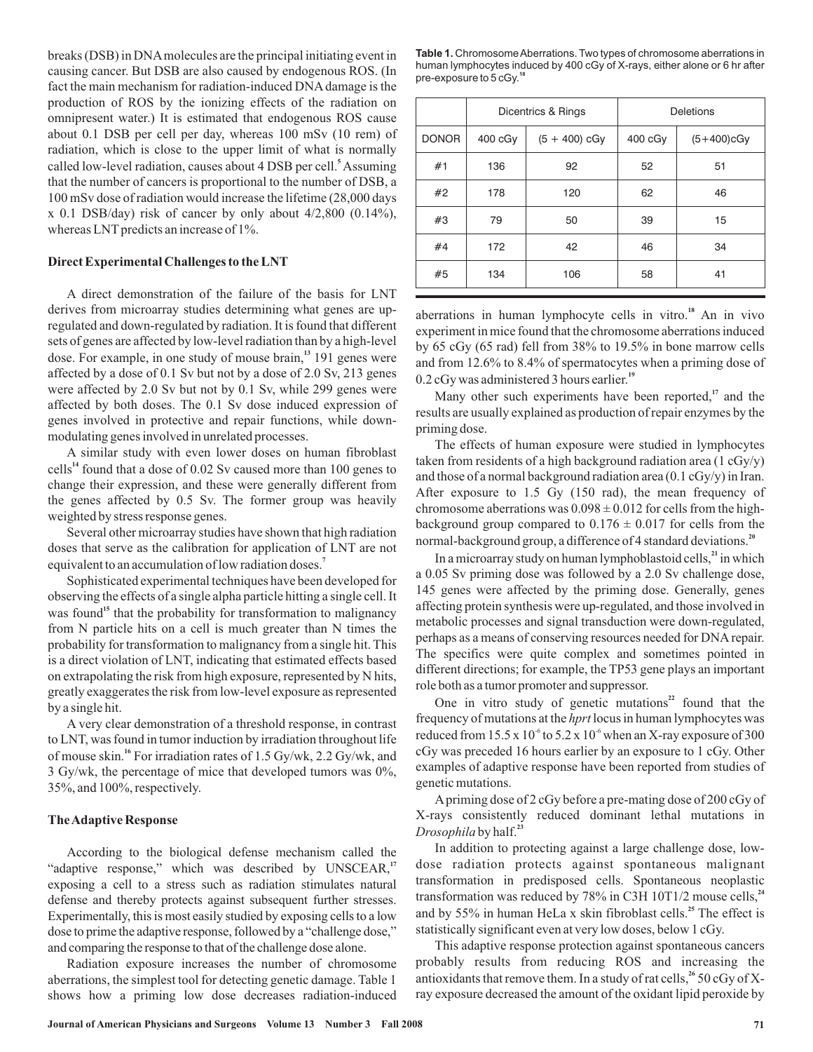breaks (DSB) in DNAmolecules are the principal initiating event in causing cancer. But DSB are also caused by endogenous ROS. (In fact the main mechanism for radiation-induced DNA damage is the production of ROS by the ionizing effects of the radiation on omnipresent water.) It is estimated that endogenous ROS cause about 0.1 DSB per cell per day, whereas 100 mSv (10 rem) of radiation, which is close to the upper limit of what is normally called low-level radiation, causes about 4 DSB per cell.<sup>5</sup> Assuming that the number of cancers is proportional to the number of DSB, a 100 mSv dose of radiation would increase the lifetime (28,000 days  $x$  0.1 DSB/day) risk of cancer by only about 4/2,800 (0.14%), whereas LNT predicts an increase of 1%.

#### **Direct Experimental Challenges to the LNT**

A direct demonstration of the failure of the basis for LNT derives from microarray studies determining what genes are upregulated and down-regulated by radiation. It is found that different sets of genes are affected by low-level radiation than by a high-level dose. For example, in one study of mouse brain,<sup>13</sup> 191 genes were affected by a dose of 0.1 Sv but not by a dose of 2.0 Sv, 213 genes were affected by 2.0 Sv but not by 0.1 Sv, while 299 genes were affected by both doses. The 0.1 Sv dose induced expression of genes involved in protective and repair functions, while downmodulating genes involved in unrelated processes.

A similar study with even lower doses on human fibroblast cells<sup>14</sup> found that a dose of  $0.02$  Sv caused more than 100 genes to change their expression, and these were generally different from the genes affected by 0.5 Sv. The former group was heavily weighted by stress response genes.

Several other microarray studies have shown that high radiation doses that serve as the calibration for application of LNT are not equivalent to an accumulation of low radiation doses. **7**

Sophisticated experimental techniques have been developed for observing the effects of a single alpha particle hitting a single cell. It was found<sup>15</sup> that the probability for transformation to malignancy from N particle hits on a cell is much greater than N times the probability for transformation to malignancy from a single hit. This is a direct violation of LNT, indicating that estimated effects based on extrapolating the risk from high exposure, represented by N hits, greatly exaggerates the risk from low-level exposure as represented by a single hit.

A very clear demonstration of a threshold response, in contrast to LNT, was found in tumor induction by irradiation throughout life of mouse skin.<sup>16</sup> For irradiation rates of 1.5 Gy/wk, 2.2 Gy/wk, and 3 Gy/wk, the percentage of mice that developed tumors was 0%, 35%, and 100%, respectively.

#### **TheAdaptive Response**

According to the biological defense mechanism called the "adaptive response," which was described by UNSCEAR,<sup>17</sup> exposing a cell to a stress such as radiation stimulates natural defense and thereby protects against subsequent further stresses. Experimentally, this is most easily studied by exposing cells to a low dose to prime the adaptive response, followed by a "challenge dose," and comparing the response to that of the challenge dose alone.

Radiation exposure increases the number of chromosome aberrations, the simplest tool for detecting genetic damage. Table 1 shows how a priming low dose decreases radiation-induced

Table 1. Chromosome Aberrations. Two types of chromosome aberrations in human lymphocytes induced by 400 cGy of X-rays, either alone or 6 hr after pre-exposure to 5 cGy.**<sup>18</sup>**

|              | Dicentrics & Rings |                 | Deletions |               |
|--------------|--------------------|-----------------|-----------|---------------|
| <b>DONOR</b> | $400 \text{ cGy}$  | $(5 + 400)$ cGy | 400 cGy   | $(5+400)$ cGy |
| #1           | 136                | 92              | 52        | 51            |
| #2           | 178                | 120             | 62        | 46            |
| #3           | 79                 | 50              | 39        | 15            |
| #4           | 172                | 42              | 46        | 34            |
| #5           | 134                | 106             | 58        | 41            |

aberrations in human lymphocyte cells in vitro.<sup>18</sup> An in vivo experiment in mice found that the chromosome aberrations induced by 65 cGy (65 rad) fell from 38% to 19.5% in bone marrow cells and from 12.6% to 8.4% of spermatocytes when a priming dose of 0.2 cGy was administered 3 hours earlier. **19**

Many other such experiments have been reported,<sup>17</sup> and the results are usually explained as production of repair enzymes by the priming dose.

The effects of human exposure were studied in lymphocytes taken from residents of a high background radiation area (1 cGy/y) and those of a normal background radiation area (0.1 cGy/y) in Iran. After exposure to 1.5 Gy (150 rad), the mean frequency of chromosome aberrations was  $0.098 \pm 0.012$  for cells from the highbackground group compared to  $0.176 \pm 0.017$  for cells from the normal-background group, a difference of 4 standard deviations. **20**

In a microarray study on human lymphoblastoid cells,<sup>21</sup> in which a 0.05 Sv priming dose was followed by a 2.0 Sv challenge dose, 145 genes were affected by the priming dose. Generally, genes affecting protein synthesis were up-regulated, and those involved in metabolic processes and signal transduction were down-regulated, perhaps as a means of conserving resources needed for DNA repair. The specifics were quite complex and sometimes pointed in different directions; for example, the TP53 gene plays an important role both as a tumor promoter and suppressor.

One in vitro study of genetic mutations $2^2$  found that the frequency of mutations at the *hprt* locus in human lymphocytes was reduced from  $15.5 \times 10^{-6}$  to  $5.2 \times 10^{-6}$  when an X-ray exposure of 300 cGy was preceded 16 hours earlier by an exposure to 1 cGy. Other examples of adaptive response have been reported from studies of genetic mutations.

A priming dose of 2 cGy before a pre-mating dose of 200 cGy of X-rays consistently reduced dominant lethal mutations in Drosophila by half.<sup>23</sup>

In addition to protecting against a large challenge dose, lowdose radiation protects against spontaneous malignant transformation in predisposed cells. Spontaneous neoplastic transformation was reduced by 78% in C3H 10T1/2 mouse cells, **24** and by 55% in human HeLa x skin fibroblast cells.<sup>25</sup> The effect is statistically significant even at very low doses, below 1 cGy.

This adaptive response protection against spontaneous cancers probably results from reducing ROS and increasing the antioxidants that remove them. In a study of rat cells,  $^{26}$  50 cGy of Xray exposure decreased the amount of the oxidant lipid peroxide by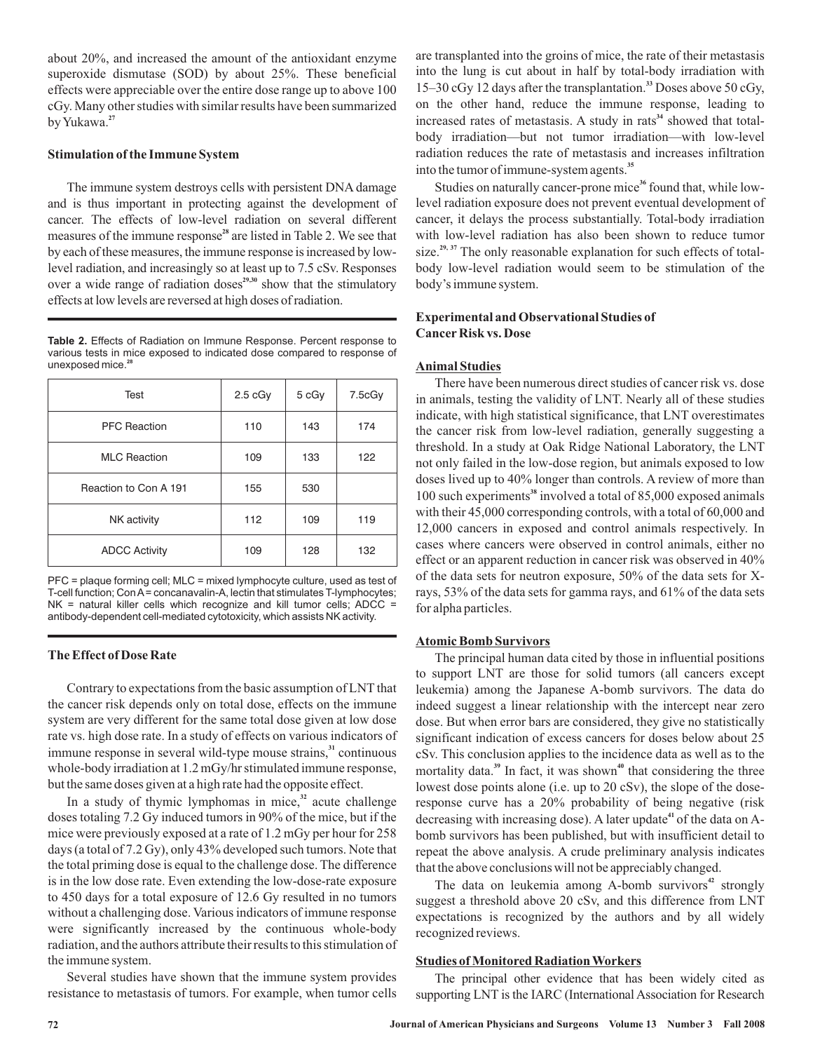about 20%, and increased the amount of the antioxidant enzyme superoxide dismutase (SOD) by about 25%. These beneficial effects were appreciable over the entire dose range up to above 100 cGy. Many other studies with similar results have been summarized byYukawa. **27**

#### **Stimulation of the Immune System**

The immune system destroys cells with persistent DNA damage and is thus important in protecting against the development of cancer. The effects of low-level radiation on several different measures of the immune response<sup>28</sup> are listed in Table 2. We see that by each of these measures, the immune response is increased by lowlevel radiation, and increasingly so at least up to 7.5 cSv. Responses over a wide range of radiation doses<sup>29,30</sup> show that the stimulatory effects at low levels are reversed at high doses of radiation.

**Table 2.** Effects of Radiation on Immune Response. Percent response to various tests in mice exposed to indicated dose compared to response of unexposed mice.**<sup>28</sup>**

| Test                  | 2.5 <sub>c</sub> Gy | 5 cGy | 7.5cGy |
|-----------------------|---------------------|-------|--------|
| <b>PFC Reaction</b>   | 110                 | 143   | 174    |
| <b>MLC Reaction</b>   | 109                 | 133   | 122    |
| Reaction to Con A 191 | 155                 | 530   |        |
| NK activity           | 112                 | 109   | 119    |
| <b>ADCC Activity</b>  | 109                 | 128   | 132    |

PFC = plaque forming cell; MLC = mixed lymphocyte culture, used as test of T-cell function; ConA= concanavalin-A, lectin that stimulates T-lymphocytes;  $NK$  = natural killer cells which recognize and kill tumor cells;  $ADC$  = antibody-dependent cell-mediated cytotoxicity, which assists NK activity.

#### **The Effect of Dose Rate**

Contrary to expectations from the basic assumption of LNT that the cancer risk depends only on total dose, effects on the immune system are very different for the same total dose given at low dose rate vs. high dose rate. In a study of effects on various indicators of immune response in several wild-type mouse strains,<sup>31</sup> continuous whole-body irradiation at 1.2 mGy/hr stimulated immune response, but the same doses given at a high rate had the opposite effect.

In a study of thymic lymphomas in mice, $32$  acute challenge doses totaling 7.2 Gy induced tumors in 90% of the mice, but if the mice were previously exposed at a rate of 1.2 mGy per hour for 258 days (a total of 7.2 Gy), only 43% developed such tumors. Note that the total priming dose is equal to the challenge dose. The difference is in the low dose rate. Even extending the low-dose-rate exposure to 450 days for a total exposure of 12.6 Gy resulted in no tumors without a challenging dose. Various indicators of immune response were significantly increased by the continuous whole-body radiation, and the authors attribute their results to this stimulation of the immune system.

Several studies have shown that the immune system provides resistance to metastasis of tumors. For example, when tumor cells

are transplanted into the groins of mice, the rate of their metastasis into the lung is cut about in half by total-body irradiation with 15–30 cGy 12 days after the transplantation.<sup>33</sup> Doses above 50 cGy, on the other hand, reduce the immune response, leading to increased rates of metastasis. A study in rats<sup>34</sup> showed that totalbody irradiation—but not tumor irradiation—with low-level radiation reduces the rate of metastasis and increases infiltration into the tumor of immune-system agents. **35**

Studies on naturally cancer-prone mice<sup>36</sup> found that, while lowlevel radiation exposure does not prevent eventual development of cancer, it delays the process substantially. Total-body irradiation with low-level radiation has also been shown to reduce tumor size.<sup>29, 37</sup> The only reasonable explanation for such effects of totalbody low-level radiation would seem to be stimulation of the body's immune system.

# **Experimental and Observational Studies of Cancer Risk vs. Dose**

## **Animal Studies**

There have been numerous direct studies of cancer risk vs. dose in animals, testing the validity of LNT. Nearly all of these studies indicate, with high statistical significance, that LNT overestimates the cancer risk from low-level radiation, generally suggesting a threshold. In a study at Oak Ridge National Laboratory, the LNT not only failed in the low-dose region, but animals exposed to low doses lived up to 40% longer than controls. A review of more than 100 such experiments<sup>38</sup> involved a total of 85,000 exposed animals with their 45,000 corresponding controls, with a total of 60,000 and 12,000 cancers in exposed and control animals respectively. In cases where cancers were observed in control animals, either no effect or an apparent reduction in cancer risk was observed in 40% of the data sets for neutron exposure, 50% of the data sets for Xrays, 53% of the data sets for gamma rays, and 61% of the data sets for alpha particles.

## **Atomic Bomb Survivors**

The principal human data cited by those in influential positions to support LNT are those for solid tumors (all cancers except leukemia) among the Japanese A-bomb survivors. The data do indeed suggest a linear relationship with the intercept near zero dose. But when error bars are considered, they give no statistically significant indication of excess cancers for doses below about 25 cSv. This conclusion applies to the incidence data as well as to the mortality data.<sup>39</sup> In fact, it was shown<sup>40</sup> that considering the three lowest dose points alone (i.e. up to 20 cSv), the slope of the doseresponse curve has a 20% probability of being negative (risk decreasing with increasing dose). A later update<sup>41</sup> of the data on Abomb survivors has been published, but with insufficient detail to repeat the above analysis. A crude preliminary analysis indicates that the above conclusions will not be appreciably changed.

The data on leukemia among A-bomb survivors<sup>42</sup> strongly suggest a threshold above 20 cSv, and this difference from LNT expectations is recognized by the authors and by all widely recognized reviews.

## **Studies of Monitored Radiation Workers**

The principal other evidence that has been widely cited as supporting LNT is the IARC (International Association for Research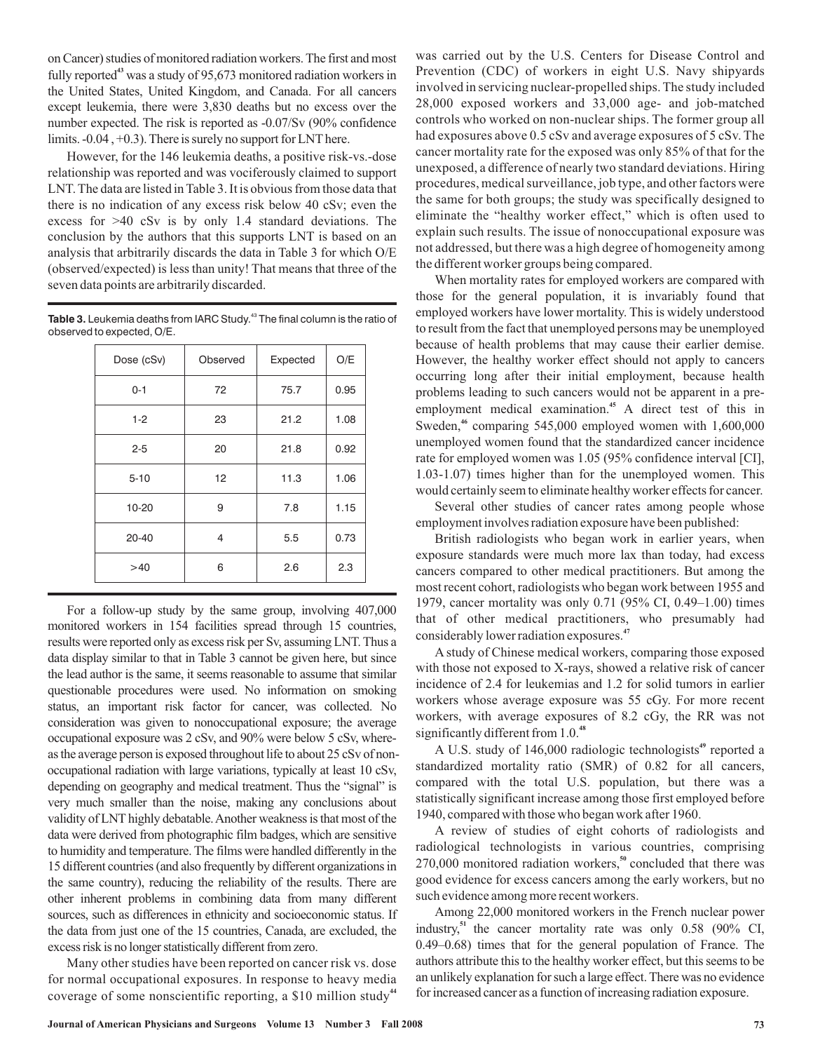on Cancer) studies of monitored radiation workers. The first and most fully reported<sup>43</sup> was a study of  $95,673$  monitored radiation workers in the United States, United Kingdom, and Canada. For all cancers except leukemia, there were 3,830 deaths but no excess over the number expected. The risk is reported as -0.07/Sv (90% confidence limits. -0.04 , +0.3). There is surely no support for LNT here.

However, for the 146 leukemia deaths, a positive risk-vs.-dose relationship was reported and was vociferously claimed to support LNT. The data are listed in Table 3. It is obvious from those data that there is no indication of any excess risk below 40 cSv; even the excess for >40 cSv is by only 1.4 standard deviations. The conclusion by the authors that this supports LNT is based on an analysis that arbitrarily discards the data in Table 3 for which O/E (observed/expected) is less than unity! That means that three of the seven data points are arbitrarily discarded.

Table 3. Leukemia deaths from IARC Study.<sup>43</sup> The final column is the ratio of observed to expected, O/E.

| Dose (cSv) | Observed | Expected | O/E  |
|------------|----------|----------|------|
| $0 - 1$    | 72       | 75.7     | 0.95 |
| $1 - 2$    | 23       | 21.2     | 1.08 |
| $2 - 5$    | 20       | 21.8     | 0.92 |
| $5 - 10$   | 12       | 11.3     | 1.06 |
| 10-20      | 9        | 7.8      | 1.15 |
| $20 - 40$  | 4        | 5.5      | 0.73 |
| >40        | 6        | 2.6      | 2.3  |

For a follow-up study by the same group, involving 407,000 monitored workers in 154 facilities spread through 15 countries, results were reported only as excess risk per Sv, assuming LNT. Thus a data display similar to that in Table 3 cannot be given here, but since the lead author is the same, it seems reasonable to assume that similar questionable procedures were used. No information on smoking status, an important risk factor for cancer, was collected. No consideration was given to nonoccupational exposure; the average occupational exposure was 2 cSv, and 90% were below 5 cSv, whereas the average person is exposed throughout life to about 25 cSv of nonoccupational radiation with large variations, typically at least 10 cSv, depending on geography and medical treatment. Thus the "signal" is very much smaller than the noise, making any conclusions about validity of LNT highly debatable.Another weakness is that most of the data were derived from photographic film badges, which are sensitive to humidity and temperature. The films were handled differently in the 15 different countries (and also frequently by different organizations in the same country), reducing the reliability of the results. There are other inherent problems in combining data from many different sources, such as differences in ethnicity and socioeconomic status. If the data from just one of the 15 countries, Canada, are excluded, the excess risk is no longer statistically different from zero.

Many other studies have been reported on cancer risk vs. dose for normal occupational exposures. In response to heavy media coverage of some nonscientific reporting, a \$10 million study **44**

was carried out by the U.S. Centers for Disease Control and Prevention (CDC) of workers in eight U.S. Navy shipyards involved in servicing nuclear-propelled ships. The study included 28,000 exposed workers and 33,000 age- and job-matched controls who worked on non-nuclear ships. The former group all had exposures above 0.5 cSv and average exposures of 5 cSv. The cancer mortality rate for the exposed was only 85% of that for the unexposed, a difference of nearly two standard deviations. Hiring procedures, medical surveillance, job type, and other factors were the same for both groups; the study was specifically designed to eliminate the "healthy worker effect," which is often used to explain such results. The issue of nonoccupational exposure was not addressed, but there was a high degree of homogeneity among the different worker groups being compared.

When mortality rates for employed workers are compared with those for the general population, it is invariably found that employed workers have lower mortality. This is widely understood to result from the fact that unemployed persons may be unemployed because of health problems that may cause their earlier demise. However, the healthy worker effect should not apply to cancers occurring long after their initial employment, because health problems leading to such cancers would not be apparent in a preemployment medical examination.<sup>45</sup> A direct test of this in Sweden,<sup>46</sup> comparing 545,000 employed women with 1,600,000 unemployed women found that the standardized cancer incidence rate for employed women was 1.05 (95% confidence interval [CI], 1.03-1.07) times higher than for the unemployed women. This would certainly seem to eliminate healthy worker effects for cancer.

Several other studies of cancer rates among people whose employment involves radiation exposure have been published:

British radiologists who began work in earlier years, when exposure standards were much more lax than today, had excess cancers compared to other medical practitioners. But among the most recent cohort, radiologists who began work between 1955 and 1979, cancer mortality was only 0.71 (95% CI, 0.49–1.00) times that of other medical practitioners, who presumably had considerably lower radiation exposures. **47**

A study of Chinese medical workers, comparing those exposed with those not exposed to X-rays, showed a relative risk of cancer incidence of 2.4 for leukemias and 1.2 for solid tumors in earlier workers whose average exposure was 55 cGy. For more recent workers, with average exposures of 8.2 cGy, the RR was not significantly different from 1.0. **48**

A U.S. study of 146,000 radiologic technologists<sup>49</sup> reported a standardized mortality ratio (SMR) of 0.82 for all cancers, compared with the total U.S. population, but there was a statistically significant increase among those first employed before 1940, compared with those who began work after 1960.

A review of studies of eight cohorts of radiologists and radiological technologists in various countries, comprising 270,000 monitored radiation workers,<sup>50</sup> concluded that there was good evidence for excess cancers among the early workers, but no such evidence among more recent workers.

Among 22,000 monitored workers in the French nuclear power industry,<sup>51</sup> the cancer mortality rate was only  $0.58$  (90% CI, 0.49–0.68) times that for the general population of France. The authors attribute this to the healthy worker effect, but this seems to be an unlikely explanation for such a large effect. There was no evidence for increased cancer as a function of increasing radiation exposure.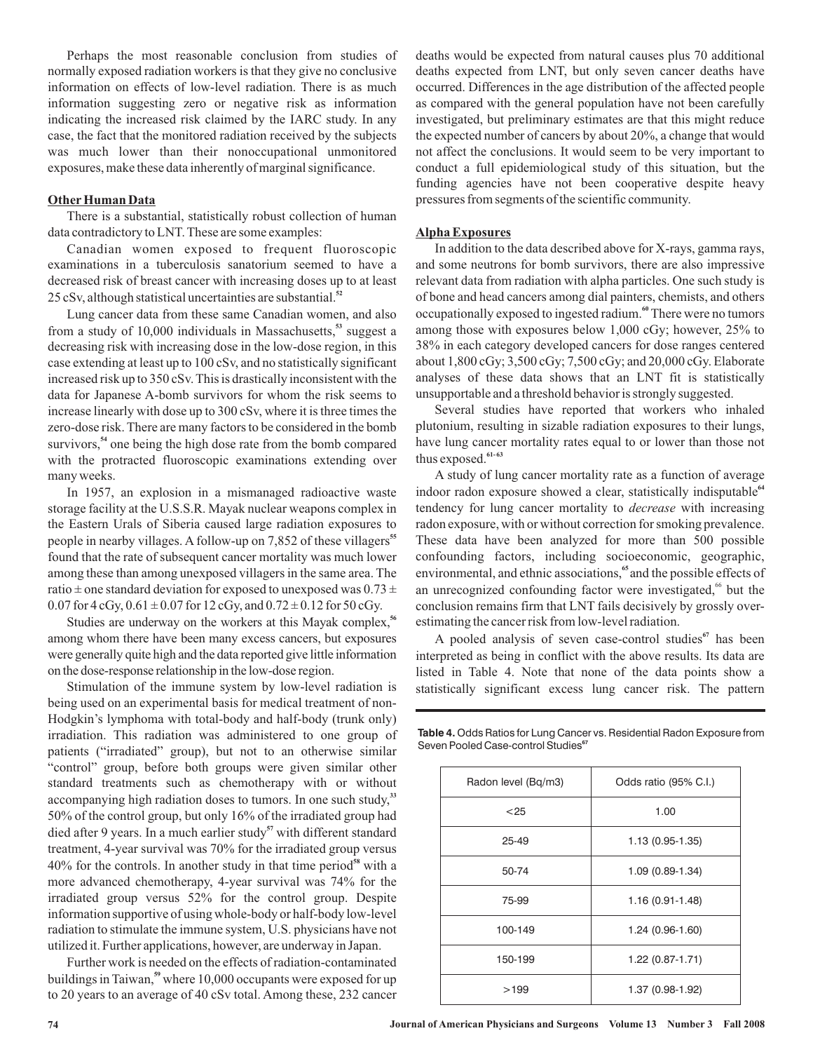Perhaps the most reasonable conclusion from studies of normally exposed radiation workers is that they give no conclusive information on effects of low-level radiation. There is as much information suggesting zero or negative risk as information indicating the increased risk claimed by the IARC study. In any case, the fact that the monitored radiation received by the subjects was much lower than their nonoccupational unmonitored exposures, make these data inherently of marginal significance.

#### **Other Human Data**

There is a substantial, statistically robust collection of human data contradictory to LNT. These are some examples:

Canadian women exposed to frequent fluoroscopic examinations in a tuberculosis sanatorium seemed to have a decreased risk of breast cancer with increasing doses up to at least 25 cSv, although statistical uncertainties are substantial. **52**

Lung cancer data from these same Canadian women, and also from a study of 10,000 individuals in Massachusetts,<sup>53</sup> suggest a decreasing risk with increasing dose in the low-dose region, in this case extending at least up to 100 cSv, and no statistically significant increased risk up to 350 cSv. This is drastically inconsistent with the data for Japanese A-bomb survivors for whom the risk seems to increase linearly with dose up to 300 cSv, where it is three times the zero-dose risk. There are many factors to be considered in the bomb survivors,<sup>54</sup> one being the high dose rate from the bomb compared with the protracted fluoroscopic examinations extending over many weeks.

In 1957, an explosion in a mismanaged radioactive waste storage facility at the U.S.S.R. Mayak nuclear weapons complex in the Eastern Urals of Siberia caused large radiation exposures to people in nearby villages. A follow-up on 7,852 of these villagers **55** found that the rate of subsequent cancer mortality was much lower among these than among unexposed villagers in the same area. The ratio  $\pm$  one standard deviation for exposed to unexposed was 0.73  $\pm$ 0.07 for  $4 \text{ cGy}, 0.61 \pm 0.07$  for  $12 \text{ cGy},$  and  $0.72 \pm 0.12$  for  $50 \text{ cGy}$ .

Studies are underway on the workers at this Mayak complex, **56** among whom there have been many excess cancers, but exposures were generally quite high and the data reported give little information on the dose-response relationship in the low-dose region.

Stimulation of the immune system by low-level radiation is being used on an experimental basis for medical treatment of non-Hodgkin's lymphoma with total-body and half-body (trunk only) irradiation. This radiation was administered to one group of patients ("irradiated" group), but not to an otherwise similar "control" group, before both groups were given similar other standard treatments such as chemotherapy with or without accompanying high radiation doses to tumors. In one such study,<sup>33</sup> 50% of the control group, but only 16% of the irradiated group had died after 9 years. In a much earlier study<sup>57</sup> with different standard treatment, 4-year survival was 70% for the irradiated group versus 40% for the controls. In another study in that time period<sup>58</sup> with a more advanced chemotherapy, 4-year survival was 74% for the irradiated group versus 52% for the control group. Despite information supportive of using whole-body or half-body low-level radiation to stimulate the immune system, U.S. physicians have not utilized it. Further applications, however, are underway in Japan.

Further work is needed on the effects of radiation-contaminated buildings in Taiwan,<sup>59</sup> where 10,000 occupants were exposed for up to 20 years to an average of 40 cSv total. Among these, 232 cancer deaths would be expected from natural causes plus 70 additional deaths expected from LNT, but only seven cancer deaths have occurred. Differences in the age distribution of the affected people as compared with the general population have not been carefully investigated, but preliminary estimates are that this might reduce the expected number of cancers by about 20%, a change that would not affect the conclusions. It would seem to be very important to conduct a full epidemiological study of this situation, but the funding agencies have not been cooperative despite heavy pressures from segments of the scientific community.

## **Alpha Exposures**

In addition to the data described above for X-rays, gamma rays, and some neutrons for bomb survivors, there are also impressive relevant data from radiation with alpha particles. One such study is of bone and head cancers among dial painters, chemists, and others occupationally exposed to ingested radium.<sup>60</sup> There were no tumors among those with exposures below 1,000 cGy; however, 25% to 38% in each category developed cancers for dose ranges centered about 1,800 cGy; 3,500 cGy; 7,500 cGy; and 20,000 cGy. Elaborate analyses of these data shows that an LNT fit is statistically unsupportable and a threshold behavior is strongly suggested.

Several studies have reported that workers who inhaled plutonium, resulting in sizable radiation exposures to their lungs, have lung cancer mortality rates equal to or lower than those not thus exposed.<sup>61-63</sup>

A study of lung cancer mortality rate as a function of average indoor radon exposure showed a clear, statistically indisputable **64** tendency for lung cancer mortality to *decrease* with increasing radon exposure, with or without correction for smoking prevalence. These data have been analyzed for more than 500 possible confounding factors, including socioeconomic, geographic, environmental, and ethnic associations,<sup>65</sup> and the possible effects of an unrecognized confounding factor were investigated,<sup>66</sup> but the conclusion remains firm that LNT fails decisively by grossly overestimating the cancer risk from low-level radiation.

A pooled analysis of seven case-control studies<sup>67</sup> has been interpreted as being in conflict with the above results. Its data are listed in Table 4. Note that none of the data points show a statistically significant excess lung cancer risk. The pattern

| Radon level (Bq/m3) | Odds ratio (95% C.I.) |
|---------------------|-----------------------|
| < 25                | 1.00                  |
| $25 - 49$           | 1.13 (0.95-1.35)      |
| 50-74               | 1.09 (0.89-1.34)      |
| 75-99               | $1.16(0.91 - 1.48)$   |
| 100-149             | 1.24 (0.96-1.60)      |
| 150-199             | 1.22 (0.87-1.71)      |
| >199                | 1.37 (0.98-1.92)      |

**Table 4.** Odds Ratios for Lung Cancer vs. Residential Radon Exposure from Seven Pooled Case-control Studies<sup>67</sup>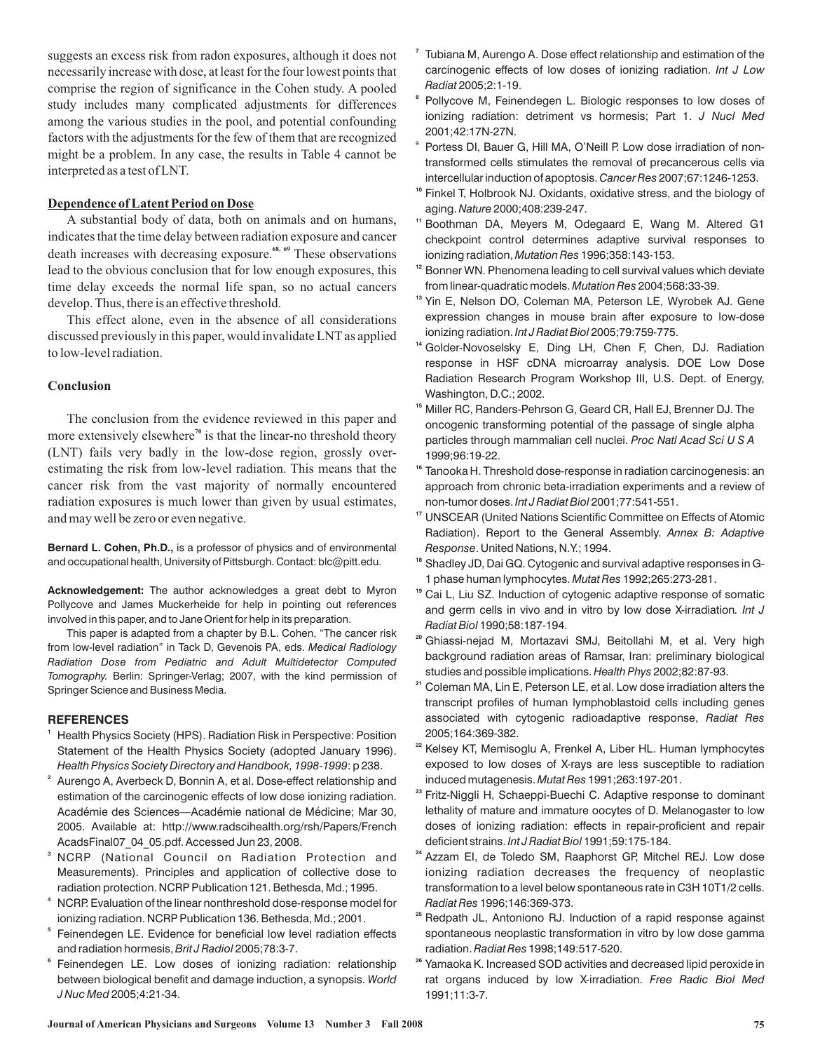suggests an excess risk from radon exposures, although it does not necessarily increase with dose, at least for the four lowest points that comprise the region of significance in the Cohen study. A pooled study includes many complicated adjustments for differences among the various studies in the pool, and potential confounding factors with the adjustments for the few of them that are recognized might be a problem. In any case, the results in Table 4 cannot be interpreted as a test of LNT.

# **Dependence of Latent Period on Dose**

A substantial body of data, both on animals and on humans, indicates that the time delay between radiation exposure and cancer death increases with decreasing exposure.<sup>68, 69</sup> These observations lead to the obvious conclusion that for low enough exposures, this time delay exceeds the normal life span, so no actual cancers develop. Thus, there is an effective threshold.

This effect alone, even in the absence of all considerations discussed previously in this paper, would invalidate LNT as applied to low-level radiation.

#### **Conclusion**

The conclusion from the evidence reviewed in this paper and more extensively elsewhere<sup>70</sup> is that the linear-no threshold theory (LNT) fails very badly in the low-dose region, grossly overestimating the risk from low-level radiation. This means that the cancer risk from the vast majority of normally encountered radiation exposures is much lower than given by usual estimates, and may well be zero or even negative.

**Bernard L. Cohen, Ph.D.,** is a professor of physics and of environmental and occupational health, University of Pittsburgh. Contact: blc@pitt.edu.

**Acknowledgement:** The author acknowledges a great debt to Myron Pollycove and James Muckerheide for help in pointing out references involved in this paper, and to Jane Orient for help in its preparation.

This paper is adapted from a chapter by B.L. Cohen, "The cancer risk from low-level radiation" in Tack D, Gevenois PA, eds. *Medical Radiology* Tomography. Berlin: Springer-Verlag; 2007, with the kind permission of Springer Science and Business Media. *Radiation Dose from Pediatric and Adult Multidetector Computed*

#### **REFERENCES**

- **1** Health Physics Society (HPS). Radiation Risk in Perspective: Position Statement of the Health Physics Society (adopted January 1996). : p 238. *Health Physics Society Directory and Handbook, 1998-1999*
- **2** Aurengo A, Averbeck D, Bonnin A, et al. Dose-effect relationship and estimation of the carcinogenic effects of low dose ionizing radiation. Académie des Sciences—Académie national de Médicine; Mar 30, 2005. Available at: http://www.radscihealth.org/rsh/Papers/French AcadsFinal07\_04\_05.pdf. Accessed Jun 23, 2008.
- **3** NCRP (National Council on Radiation Protection and Measurements). Principles and application of collective dose to radiation protection. NCRP Publication 121. Bethesda, Md.; 1995.
- **4** NCRP. Evaluation of the linear nonthreshold dose-response model for ionizing radiation. NCRP Publication 136. Bethesda, Md.; 2001.
- **5** Feinendegen LE. Evidence for beneficial low level radiation effects and radiation hormesis, *Brit J Radiol 2*005;78:3-7.
- **6** Feinendegen LE. Low doses of ionizing radiation: relationship between biological benefit and damage induction, a synopsis. *World* 2005;4:21-34. *J Nuc Med*
- **7** Tubiana M, Aurengo A. Dose effect relationship and estimation of the carcinogenic effects of low doses of ionizing radiation. *Int J Low* 2005;2:1-19. *Radiat*
- **8** Pollycove M, Feinendegen L. Biologic responses to low doses of ionizing radiation: detriment vs hormesis; Part 1. *J Nucl Med* 2001;42:17N-27N.
- Portess DI, Bauer G, Hill MA, O'Neill P. Low dose irradiation of nontransformed cells stimulates the removal of precancerous cells via intercellular induction of apoptosis. Cancer Res 2007;67:1246-1253. 9
- **10** Finkel T, Holbrook NJ. Oxidants, oxidative stress, and the biology of aging. Nature 2000;408:239-247.
- **11** Boothman DA, Meyers M, Odegaard E, Wang M. Altered G1 checkpoint control determines adaptive survival responses to ionizing radiation, *Mutation Res* 1996;358:143-153.
- <sup>12</sup> Bonner WN. Phenomena leading to cell survival values which deviate from linear-quadratic models. 2004;568:33-39. *Mutation Res*
- **13** Yin E, Nelson DO, Coleman MA, Peterson LE, Wyrobek AJ. Gene expression changes in mouse brain after exposure to low-dose ionizing radiation. Int J Radiat Biol 2005;79:759-775.
- **14** Golder-Novoselsky E, Ding LH, Chen F, Chen, DJ. Radiation response in HSF cDNA microarray analysis. DOE Low Dose Radiation Research Program Workshop III, U.S. Dept. of Energy, Washington, D.C.; 2002.
- **15** Miller RC, Randers-Pehrson G, Geard CR, Hall EJ, Brenner DJ. The oncogenic transforming potential of the passage of single alpha particles through mammalian cell nuclei. *Proc Natl Acad Sci U S A* 1999;96:19-22.
- **16** Tanooka H. Threshold dose-response in radiation carcinogenesis: an approach from chronic beta-irradiation experiments and a review of non-tumor doses. *Int J Radiat Biol* 2001;77:541-551.
- <sup>17</sup> UNSCEAR (United Nations Scientific Committee on Effects of Atomic Radiation). Report to the General Assembly. *Annex B: Adaptive* . United Nations, N.Y.; 1994. *Response*
- **18** Shadley JD, Dai GQ. Cytogenic and survival adaptive responses in G-1 phase human lymphocytes. Mutat Res 1992;265:273-281.
- **19** Cai L, Liu SZ. Induction of cytogenic adaptive response of somatic and germ cells in vivo and in vitro by low dose X-irradiation *. Int J* 1990;58:187-194. *Radiat Biol*
- **20** Ghiassi-nejad M, Mortazavi SMJ, Beitollahi M, et al. Very high background radiation areas of Ramsar, Iran: preliminary biological studies and possible implications. Health Phys 2002;82:87-93.
- **21** Coleman MA, Lin E, Peterson LE, et al. Low dose irradiation alters the transcript profiles of human lymphoblastoid cells including genes associated with cytogenic radioadaptive response, *Radiat Res* 2005;164:369-382.
- **22** Kelsey KT, Memisoglu A, Frenkel A, Liber HL. Human lymphocytes exposed to low doses of X-rays are less susceptible to radiation induced mutagenesis. Mutat Res 1991;263:197-201.
- **23** Fritz-Niggli H, Schaeppi-Buechi C. Adaptive response to dominant lethality of mature and immature oocytes of D. Melanogaster to low doses of ionizing radiation: effects in repair-proficient and repair deficient strains. *Int J Radiat Biol* 1991;59:175-184.
- **24** Azzam EI, de Toledo SM, Raaphorst GP, Mitchel REJ. Low dose ionizing radiation decreases the frequency of neoplastic transformation to a level below spontaneous rate in C3H 10T1/2 cells. 1996;146:369-373. *Radiat Res*
- **25** Redpath JL, Antoniono RJ. Induction of a rapid response against spontaneous neoplastic transformation in vitro by low dose gamma radiation. 1998;149:517-520. *Radiat Res*
- **26** Yamaoka K. Increased SOD activities and decreased lipid peroxide in rat organs induced by low X-irradiation. *Free Radic Biol Med* 1991;11:3-7.